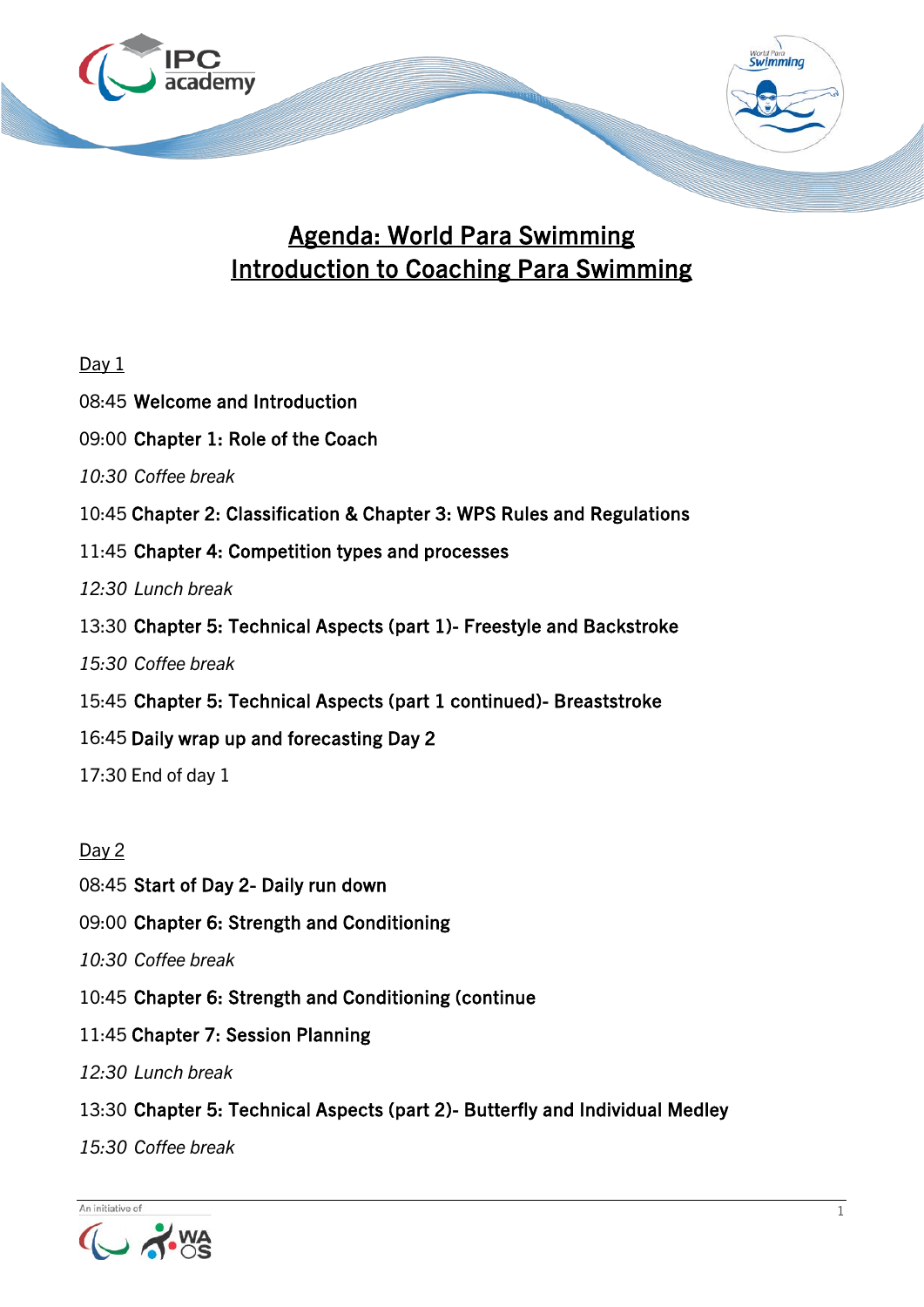

## Agenda: World Para Swimming Introduction to Coaching Para Swimming

| Day 1                                                                  |
|------------------------------------------------------------------------|
| 08:45 Welcome and Introduction                                         |
| 09:00 Chapter 1: Role of the Coach                                     |
| 10:30 Coffee break                                                     |
| 10:45 Chapter 2: Classification & Chapter 3: WPS Rules and Regulations |
| 11:45 Chapter 4: Competition types and processes                       |
| 12:30 Lunch break                                                      |
| 13:30 Chapter 5: Technical Aspects (part 1)- Freestyle and Backstroke  |
| 15:30 Coffee break                                                     |
| 15:45 Chapter 5: Technical Aspects (part 1 continued) Breaststroke     |
| 16:45 Daily wrap up and forecasting Day 2                              |
| 17:30 End of day 1                                                     |
|                                                                        |
| Day 2                                                                  |

Day 2

08:45 Start of Day 2- Daily run down

09:00 Chapter 6: Strength and Conditioning

*10:30 Coffee break*

- 10:45 Chapter 6: Strength and Conditioning (continue
- 11:45 Chapter 7: Session Planning
- *12:30 Lunch break*
- 13:30 Chapter 5: Technical Aspects (part 2)- Butterfly and Individual Medley

*15:30 Coffee break*